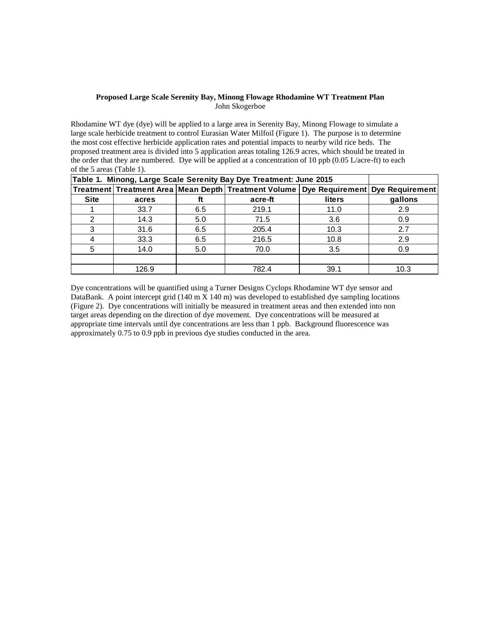## **Proposed Large Scale Serenity Bay, Minong Flowage Rhodamine WT Treatment Plan** John Skogerboe

Rhodamine WT dye (dye) will be applied to a large area in Serenity Bay, Minong Flowage to simulate a large scale herbicide treatment to control Eurasian Water Milfoil (Figure 1). The purpose is to determine the most cost effective herbicide application rates and potential impacts to nearby wild rice beds. The proposed treatment area is divided into 5 application areas totaling 126.9 acres, which should be treated in the order that they are numbered. Dye will be applied at a concentration of 10 ppb  $(0.05 \text{ L/acre-fit})$  to each of the 5 areas (Table 1).

| Table 1. Minong, Large Scale Serenity Bay Dye Treatment: June 2015 |       |     |                                                                                      |               |         |
|--------------------------------------------------------------------|-------|-----|--------------------------------------------------------------------------------------|---------------|---------|
|                                                                    |       |     | Treatment Treatment Area Mean Depth Treatment Volume Dye Requirement Dye Requirement |               |         |
| <b>Site</b>                                                        | acres | ft  | acre-ft                                                                              | <b>liters</b> | gallons |
|                                                                    | 33.7  | 6.5 | 219.1                                                                                | 11.0          | 2.9     |
| 2                                                                  | 14.3  | 5.0 | 71.5                                                                                 | 3.6           | 0.9     |
| 3                                                                  | 31.6  | 6.5 | 205.4                                                                                | 10.3          | 2.7     |
|                                                                    | 33.3  | 6.5 | 216.5                                                                                | 10.8          | 2.9     |
| 5                                                                  | 14.0  | 5.0 | 70.0                                                                                 | 3.5           | 0.9     |
|                                                                    |       |     |                                                                                      |               |         |
|                                                                    | 126.9 |     | 782.4                                                                                | 39.1          | 10.3    |

Dye concentrations will be quantified using a Turner Designs Cyclops Rhodamine WT dye sensor and DataBank. A point intercept grid (140 m X 140 m) was developed to established dye sampling locations (Figure 2). Dye concentrations will initially be measured in treatment areas and then extended into non target areas depending on the direction of dye movement. Dye concentrations will be measured at appropriate time intervals until dye concentrations are less than 1 ppb. Background fluorescence was approximately 0.75 to 0.9 ppb in previous dye studies conducted in the area.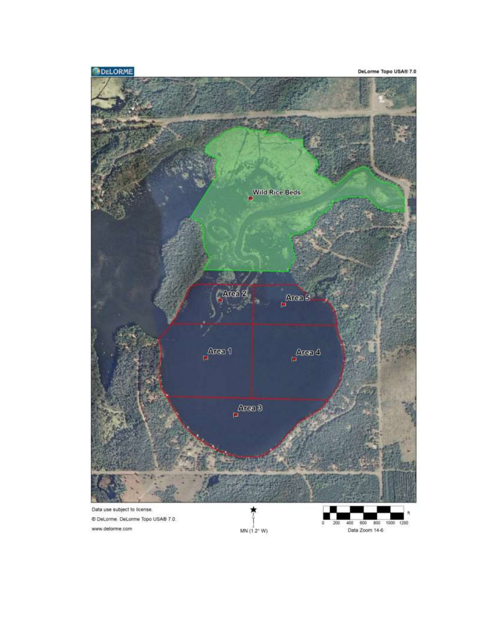